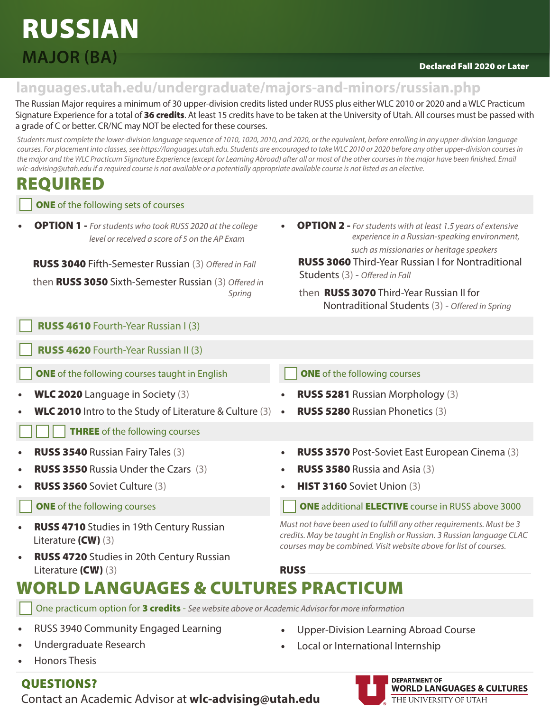## RUSSIAN **MAJOR (BA)**

### Declared Fall 2020 or Later

### **languages.utah.edu/undergraduate/majors-and-minors/russian.php**

The Russian Major requires a minimum of 30 upper-division credits listed under RUSS plus either WLC 2010 or 2020 and a WLC Practicum Signature Experience for a total of 36 credits. At least 15 credits have to be taken at the University of Utah. All courses must be passed with a grade of C or better. CR/NC may NOT be elected for these courses.

*Students must complete the lower-division language sequence of 1010, 1020, 2010, and 2020, or the equivalent, before enrolling in any upper-division language courses. For placement into classes, see https://languages.utah.edu. Students are encouraged to take WLC 2010 or 2020 before any other upper-division courses in*  the major and the WLC Practicum Signature Experience (except for Learning Abroad) after all or most of the other courses in the major have been finished. Email *wlc-advising@utah.edu if a required course is not available or a potentially appropriate available course is not listed as an elective.* 

## REQUIRED

**ONE** of the following sets of courses

• OPTION 1 - *For students who took RUSS 2020 at the college level or received a score of 5 on the AP Exam*

RUSS 3040 Fifth-Semester Russian (3) *Offered in Fall*

then RUSS 3050 Sixth-Semester Russian (3) *Offered in Spring*

RUSS 4610 Fourth-Year Russian I (3)

RUSS 4620 Fourth-Year Russian II (3)

**ONE** of the following courses taught in English **ONE** of the following courses

- 
- **WLC 2010** Intro to the Study of Literature & Culture  $(3) \cdot \cdot \cdot$  **RUSS 5280** Russian Phonetics  $(3)$

**THREE** of the following courses

- 
- **RUSS 3550** Russia Under the Czars (3)  **RUSS 3580** Russia and Asia (3)
- -
- RUSS 4710 Studies in 19th Century Russian Literature (CW) (3)
- RUSS 4720 Studies in 20th Century Russian Literature (CW) (3) RUSS

Students (3) - *Offered in Fall*

- WLC 2020 Language in Society (3) RUSS 5281 Russian Morphology (3)
	-
- RUSS 3540 Russian Fairy Tales (3) RUSS 3570 Post-Soviet East European Cinema (3)

• OPTION 2 - *For students with at least 1.5 years of extensive* 

RUSS 3060 Third-Year Russian I for Nontraditional

Nontraditional Students (3) - *Offered in Spring*

then RUSS 3070 Third-Year Russian II for

 *experience in a Russian-speaking environment, such as missionaries or heritage speakers*

- 
- RUSS 3560 Soviet Culture (3) HIST 3160 Soviet Union (3)

**ONE** of the following courses **ONE additional ELECTIVE** course in RUSS above 3000

*Must not have been used to fulfill any other requirements. Must be 3 credits. May be taught in English or Russian. 3 Russian language CLAC courses may be combined. Visit website above for list of courses.*

## WORLD LANGUAGES & CULTURES PRACTICUM

One practicum option for 3 credits - *See website above or Academic Advisor for more information*

- RUSS 3940 Community Engaged Learning
- Undergraduate Research
- Honors Thesis
- QUESTIONS?

Contact an Academic Advisor at **wlc-advising@utah.edu**

- Upper-Division Learning Abroad Course
- Local or International Internship